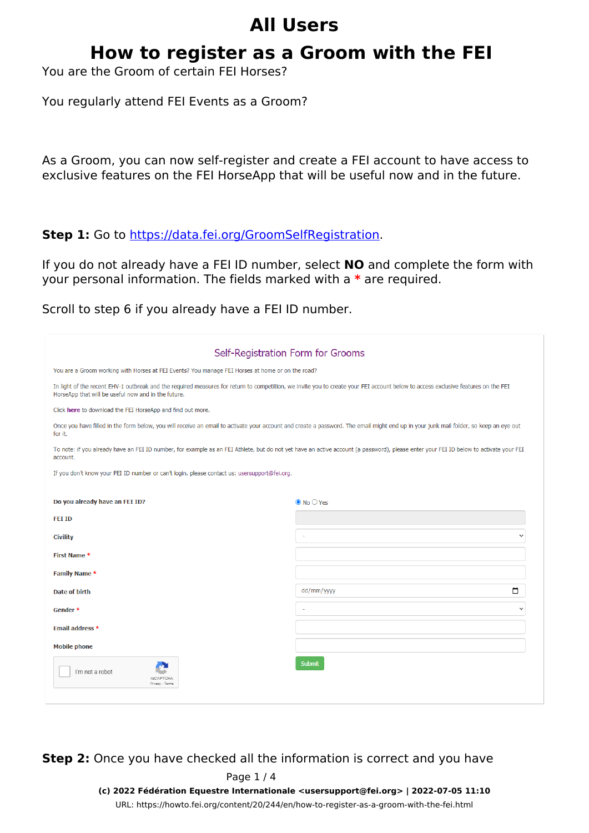#### **How to register as a Groom with the FEI**

You are the Groom of certain FEI Horses?

You regularly attend FEI Events as a Groom?

As a Groom, you can now self-register and create a FEI account to have access to exclusive features on the FEI HorseApp that will be useful now and in the future.

**Step 1:** Go to [https://data.fei.org/GroomSelfRegistration.](https://data.fei.org/GroomSelfRegistration)

If you do not already have a FEI ID number, select **NO** and complete the form with your personal information. The fields marked with a **\*** are required.

*Scroll to step 6 if you already have a FEI ID number.*

| Self-Registration Form for Grooms                                                                                                                                                                                                        |                        |  |
|------------------------------------------------------------------------------------------------------------------------------------------------------------------------------------------------------------------------------------------|------------------------|--|
| You are a Groom working with Horses at FEI Events? You manage FEI Horses at home or on the road?                                                                                                                                         |                        |  |
| In light of the recent EHV-1 outbreak and the required measures for return to competition, we invite you to create your FEI account below to access exclusive features on the FEI<br>HorseApp that will be useful now and in the future. |                        |  |
| Click here to download the FEI HorseApp and find out more.                                                                                                                                                                               |                        |  |
| Once you have filled in the form below, you will receive an email to activate your account and create a password. The email might end up in your junk mail folder, so keep an eye out<br>for it.                                         |                        |  |
| To note: if you already have an FEI ID number, for example as an FEI Athlete, but do not yet have an active account (a password), please enter your FEI ID below to activate your FEI<br>account.                                        |                        |  |
| If you don't know your FEI ID number or can't login, please contact us: usersupport@fei.org.                                                                                                                                             |                        |  |
|                                                                                                                                                                                                                                          |                        |  |
| Do you already have an FEI ID?                                                                                                                                                                                                           | $\odot$ No $\odot$ Yes |  |
| <b>FEI ID</b>                                                                                                                                                                                                                            |                        |  |
| <b>Civility</b>                                                                                                                                                                                                                          |                        |  |
| First Name *                                                                                                                                                                                                                             |                        |  |
| Family Name *                                                                                                                                                                                                                            |                        |  |
| Date of birth                                                                                                                                                                                                                            | dd/mm/yyyy<br>$\Box$   |  |
| Gender *                                                                                                                                                                                                                                 |                        |  |
| Email address *                                                                                                                                                                                                                          |                        |  |
| <b>Mobile phone</b>                                                                                                                                                                                                                      |                        |  |
| I'm not a robot<br>reCAPTCHA<br>Privacy - Terms                                                                                                                                                                                          | <b>Submit</b>          |  |
|                                                                                                                                                                                                                                          |                        |  |

**Step 2:** Once you have checked all the information is correct and you have

Page 1 / 4 **(c) 2022 Fédération Equestre Internationale <usersupport@fei.org> | 2022-07-05 11:10** [URL: https://howto.fei.org/content/20/244/en/how-to-register-as-a-groom-with-the-fei.html](https://howto.fei.org/content/20/244/en/how-to-register-as-a-groom-with-the-fei.html)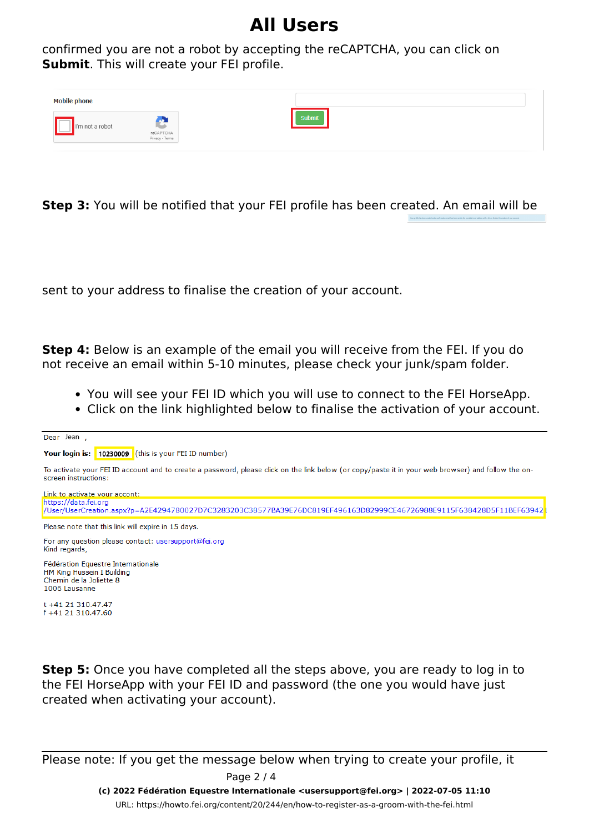confirmed you are not a robot by accepting the reCAPTCHA, you can click on **Submit**. This will create your FEI profile.

| <b>Mobile phone</b>                             |               |
|-------------------------------------------------|---------------|
| I'm not a robot<br>reCAPTCHA<br>Privacy - Terms | <b>Submit</b> |

**Step 3:** You will be notified that your FEI profile has been created. An email will be

sent to your address to finalise the creation of your account.

**Step 4:** Below is an example of the email you will receive from the FEI. If you do not receive an email within 5-10 minutes, please check your junk/spam folder.

- You will see your FEI ID which you will use to connect to the FEI HorseApp.
- Click on the link highlighted below to finalise the activation of your account.

Your login is: 10230009 (this is your FEI ID number)

To activate your FEI ID account and to create a password, please click on the link below (or copy/paste it in your web browser) and follow the onscreen instructions:



For any question please contact: usersupport@fei.org Kind regards,

Fédération Equestre Internationale HM King Hussein I Building Chemin de la Joliette 8 1006 Lausanne

t +41 21 310.47.47 f +41 21 310.47.60

Dear Jean

**Step 5:** Once you have completed all the steps above, you are ready to log in to the FEI HorseApp with your FEI ID and password (the one you would have just created when activating your account).

*Please note:* If you get the message below when trying to create your profile, it

Page 2 / 4

**(c) 2022 Fédération Equestre Internationale <usersupport@fei.org> | 2022-07-05 11:10** [URL: https://howto.fei.org/content/20/244/en/how-to-register-as-a-groom-with-the-fei.html](https://howto.fei.org/content/20/244/en/how-to-register-as-a-groom-with-the-fei.html)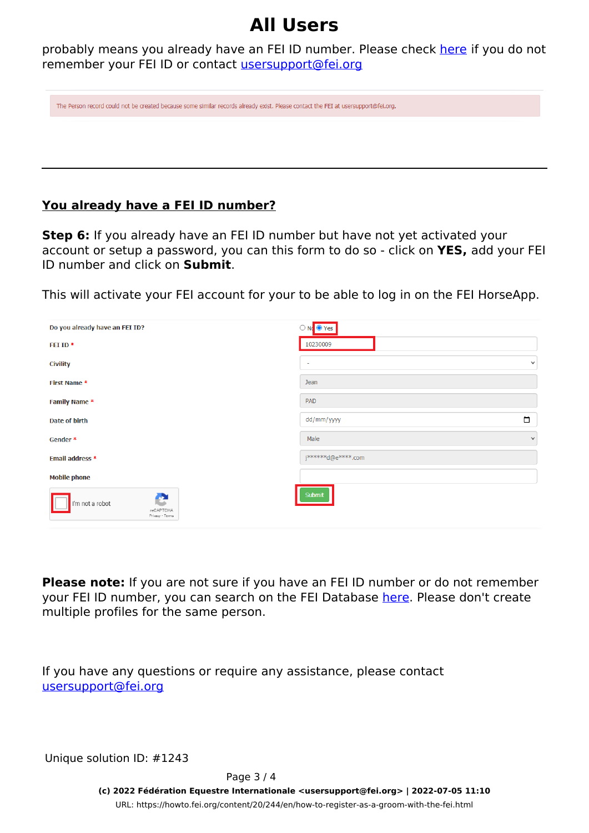probably means you already have an FEI ID number. Please check [here](https://data.fei.org/Person/Search.aspx) if you do not remember your FEI ID or contact [usersupport@fei.org](mailto:usersupport@fei.or)

The Person record could not be created because some similar records already exist. Please contact the FEI at usersupport@fei.org.

#### **You already have a FEI ID number?**

**Step 6:** If you already have an FEI ID number but have not yet activated your account or setup a password, you can this form to do so - click on **YES,** add your FEI ID number and click on **Submit**.

This will activate your FEI account for your to be able to log in on the FEI HorseApp.

| Do you already have an FEI ID?                       | Yes                    |
|------------------------------------------------------|------------------------|
| FEI ID $*$                                           | 10230009               |
| <b>Civility</b>                                      | $\checkmark$<br>$\sim$ |
| First Name *                                         | Jean                   |
| Family Name *                                        | PAD                    |
| Date of birth                                        | $\Box$<br>dd/mm/yyyy   |
| Gender *                                             | Male<br>$\checkmark$   |
| Email address *                                      | j******d@e****.com     |
| <b>Mobile phone</b>                                  |                        |
| A<br>I'm not a robot<br>reCAPTCHA<br>Privacy - Terms | Submit                 |

**Please note:** If you are not sure if you have an FEI ID number or do not remember your FEI ID number, you can search on the FEI Database [here.](https://idata.fei.org/Person/Search.aspx) Please don't create multiple profiles for the same person.

If you have any questions or require any assistance, please contact [usersupport@fei.org](mailto:usersupport@fei.org)

Unique solution ID: #1243

Page 3 / 4

**(c) 2022 Fédération Equestre Internationale <usersupport@fei.org> | 2022-07-05 11:10** [URL: https://howto.fei.org/content/20/244/en/how-to-register-as-a-groom-with-the-fei.html](https://howto.fei.org/content/20/244/en/how-to-register-as-a-groom-with-the-fei.html)